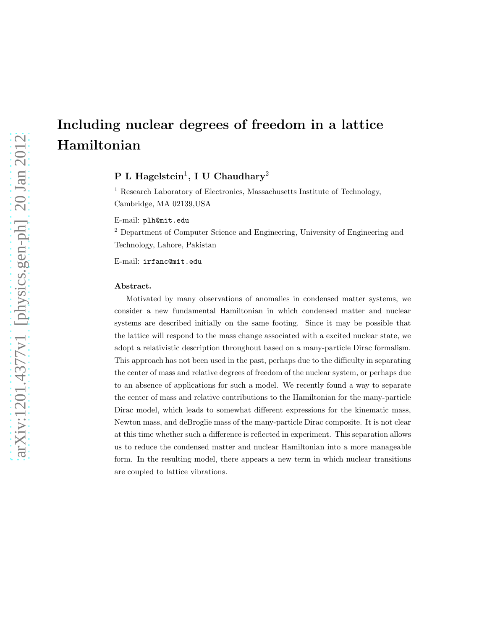# Including nuclear degrees of freedom in a lattice Hamiltonian

# ${\rm P\, \ L \; Hagelstein^1, \, I \, U \; Chaudhary^2}$

<sup>1</sup> Research Laboratory of Electronics, Massachusetts Institute of Technology, Cambridge, MA 02139,USA

E-mail: plh@mit.edu

<sup>2</sup> Department of Computer Science and Engineering, University of Engineering and Technology, Lahore, Pakistan

E-mail: irfanc@mit.edu

#### Abstract.

Motivated by many observations of anomalies in condensed matter systems, we consider a new fundamental Hamiltonian in which condensed matter and nuclear systems are described initially on the same footing. Since it may be possible that the lattice will respond to the mass change associated with a excited nuclear state, we adopt a relativistic description throughout based on a many-particle Dirac formalism. This approach has not been used in the past, perhaps due to the difficulty in separating the center of mass and relative degrees of freedom of the nuclear system, or perhaps due to an absence of applications for such a model. We recently found a way to separate the center of mass and relative contributions to the Hamiltonian for the many-particle Dirac model, which leads to somewhat different expressions for the kinematic mass, Newton mass, and deBroglie mass of the many-particle Dirac composite. It is not clear at this time whether such a difference is reflected in experiment. This separation allows us to reduce the condensed matter and nuclear Hamiltonian into a more manageable form. In the resulting model, there appears a new term in which nuclear transitions are coupled to lattice vibrations.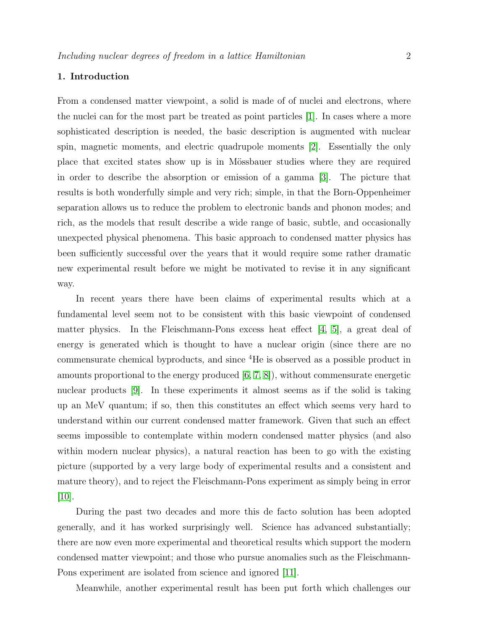# 1. Introduction

From a condensed matter viewpoint, a solid is made of of nuclei and electrons, where the nuclei can for the most part be treated as point particles [\[1\]](#page-22-0). In cases where a more sophisticated description is needed, the basic description is augmented with nuclear spin, magnetic moments, and electric quadrupole moments [\[2\]](#page-22-1). Essentially the only place that excited states show up is in Mössbauer studies where they are required in order to describe the absorption or emission of a gamma [\[3\]](#page-22-2). The picture that results is both wonderfully simple and very rich; simple, in that the Born-Oppenheimer separation allows us to reduce the problem to electronic bands and phonon modes; and rich, as the models that result describe a wide range of basic, subtle, and occasionally unexpected physical phenomena. This basic approach to condensed matter physics has been sufficiently successful over the years that it would require some rather dramatic new experimental result before we might be motivated to revise it in any significant way.

In recent years there have been claims of experimental results which at a fundamental level seem not to be consistent with this basic viewpoint of condensed matter physics. In the Fleischmann-Pons excess heat effect  $[4, 5]$  $[4, 5]$ , a great deal of energy is generated which is thought to have a nuclear origin (since there are no commensurate chemical byproducts, and since <sup>4</sup>He is observed as a possible product in amounts proportional to the energy produced [\[6,](#page-22-5) [7,](#page-22-6) [8\]](#page-22-7)), without commensurate energetic nuclear products [\[9\]](#page-22-8). In these experiments it almost seems as if the solid is taking up an MeV quantum; if so, then this constitutes an effect which seems very hard to understand within our current condensed matter framework. Given that such an effect seems impossible to contemplate within modern condensed matter physics (and also within modern nuclear physics), a natural reaction has been to go with the existing picture (supported by a very large body of experimental results and a consistent and mature theory), and to reject the Fleischmann-Pons experiment as simply being in error  $|10|$ .

During the past two decades and more this de facto solution has been adopted generally, and it has worked surprisingly well. Science has advanced substantially; there are now even more experimental and theoretical results which support the modern condensed matter viewpoint; and those who pursue anomalies such as the Fleischmann-Pons experiment are isolated from science and ignored [\[11\]](#page-22-10).

Meanwhile, another experimental result has been put forth which challenges our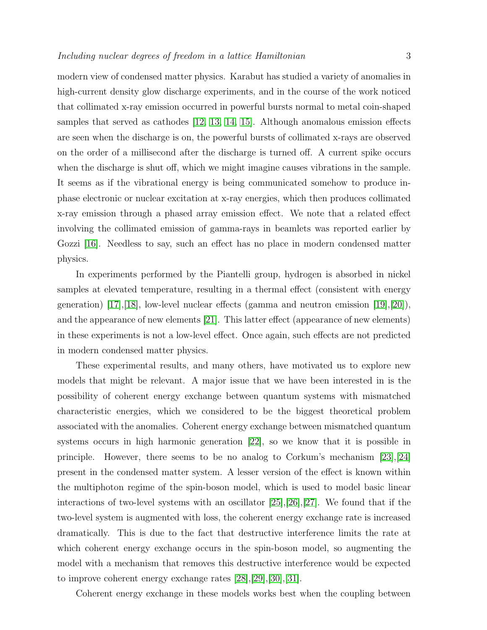modern view of condensed matter physics. Karabut has studied a variety of anomalies in high-current density glow discharge experiments, and in the course of the work noticed that collimated x-ray emission occurred in powerful bursts normal to metal coin-shaped samples that served as cathodes [\[12,](#page-22-11) [13,](#page-22-12) [14,](#page-22-13) [15\]](#page-22-14). Although anomalous emission effects are seen when the discharge is on, the powerful bursts of collimated x-rays are observed on the order of a millisecond after the discharge is turned off. A current spike occurs when the discharge is shut off, which we might imagine causes vibrations in the sample. It seems as if the vibrational energy is being communicated somehow to produce inphase electronic or nuclear excitation at x-ray energies, which then produces collimated x-ray emission through a phased array emission effect. We note that a related effect involving the collimated emission of gamma-rays in beamlets was reported earlier by Gozzi [\[16\]](#page-22-15). Needless to say, such an effect has no place in modern condensed matter physics.

In experiments performed by the Piantelli group, hydrogen is absorbed in nickel samples at elevated temperature, resulting in a thermal effect (consistent with energy generation)  $[17], [18],$  $[17], [18],$  $[17], [18],$  low-level nuclear effects (gamma and neutron emission  $[19], [20],$  $[19], [20],$  $[19], [20],$ and the appearance of new elements [\[21\]](#page-22-20). This latter effect (appearance of new elements) in these experiments is not a low-level effect. Once again, such effects are not predicted in modern condensed matter physics.

These experimental results, and many others, have motivated us to explore new models that might be relevant. A major issue that we have been interested in is the possibility of coherent energy exchange between quantum systems with mismatched characteristic energies, which we considered to be the biggest theoretical problem associated with the anomalies. Coherent energy exchange between mismatched quantum systems occurs in high harmonic generation [\[22\]](#page-22-21), so we know that it is possible in principle. However, there seems to be no analog to Corkum's mechanism [\[23\]](#page-23-0),[\[24\]](#page-23-1) present in the condensed matter system. A lesser version of the effect is known within the multiphoton regime of the spin-boson model, which is used to model basic linear interactions of two-level systems with an oscillator [\[25\]](#page-23-2),[\[26\]](#page-23-3),[\[27\]](#page-23-4). We found that if the two-level system is augmented with loss, the coherent energy exchange rate is increased dramatically. This is due to the fact that destructive interference limits the rate at which coherent energy exchange occurs in the spin-boson model, so augmenting the model with a mechanism that removes this destructive interference would be expected to improve coherent energy exchange rates [\[28\]](#page-23-5),[\[29\]](#page-23-6),[\[30\]](#page-23-7),[\[31\]](#page-23-8).

Coherent energy exchange in these models works best when the coupling between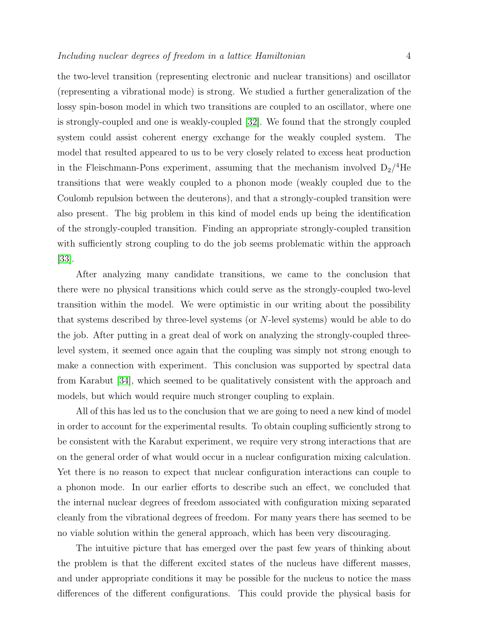the two-level transition (representing electronic and nuclear transitions) and oscillator (representing a vibrational mode) is strong. We studied a further generalization of the lossy spin-boson model in which two transitions are coupled to an oscillator, where one is strongly-coupled and one is weakly-coupled [\[32\]](#page-23-9). We found that the strongly coupled system could assist coherent energy exchange for the weakly coupled system. The model that resulted appeared to us to be very closely related to excess heat production in the Fleischmann-Pons experiment, assuming that the mechanism involved  $D_2$ <sup>4</sup>He transitions that were weakly coupled to a phonon mode (weakly coupled due to the Coulomb repulsion between the deuterons), and that a strongly-coupled transition were also present. The big problem in this kind of model ends up being the identification of the strongly-coupled transition. Finding an appropriate strongly-coupled transition with sufficiently strong coupling to do the job seems problematic within the approach [\[33\]](#page-23-10).

After analyzing many candidate transitions, we came to the conclusion that there were no physical transitions which could serve as the strongly-coupled two-level transition within the model. We were optimistic in our writing about the possibility that systems described by three-level systems (or N-level systems) would be able to do the job. After putting in a great deal of work on analyzing the strongly-coupled threelevel system, it seemed once again that the coupling was simply not strong enough to make a connection with experiment. This conclusion was supported by spectral data from Karabut [\[34\]](#page-23-11), which seemed to be qualitatively consistent with the approach and models, but which would require much stronger coupling to explain.

All of this has led us to the conclusion that we are going to need a new kind of model in order to account for the experimental results. To obtain coupling sufficiently strong to be consistent with the Karabut experiment, we require very strong interactions that are on the general order of what would occur in a nuclear configuration mixing calculation. Yet there is no reason to expect that nuclear configuration interactions can couple to a phonon mode. In our earlier efforts to describe such an effect, we concluded that the internal nuclear degrees of freedom associated with configuration mixing separated cleanly from the vibrational degrees of freedom. For many years there has seemed to be no viable solution within the general approach, which has been very discouraging.

The intuitive picture that has emerged over the past few years of thinking about the problem is that the different excited states of the nucleus have different masses, and under appropriate conditions it may be possible for the nucleus to notice the mass differences of the different configurations. This could provide the physical basis for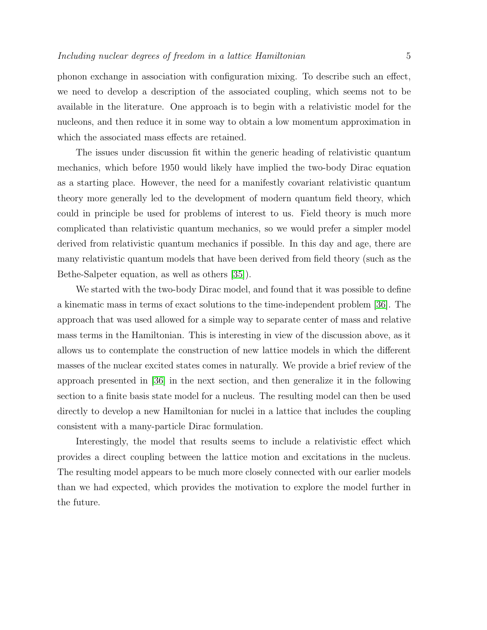phonon exchange in association with configuration mixing. To describe such an effect, we need to develop a description of the associated coupling, which seems not to be available in the literature. One approach is to begin with a relativistic model for the nucleons, and then reduce it in some way to obtain a low momentum approximation in which the associated mass effects are retained.

The issues under discussion fit within the generic heading of relativistic quantum mechanics, which before 1950 would likely have implied the two-body Dirac equation as a starting place. However, the need for a manifestly covariant relativistic quantum theory more generally led to the development of modern quantum field theory, which could in principle be used for problems of interest to us. Field theory is much more complicated than relativistic quantum mechanics, so we would prefer a simpler model derived from relativistic quantum mechanics if possible. In this day and age, there are many relativistic quantum models that have been derived from field theory (such as the Bethe-Salpeter equation, as well as others [\[35\]](#page-23-12)).

We started with the two-body Dirac model, and found that it was possible to define a kinematic mass in terms of exact solutions to the time-independent problem [\[36\]](#page-23-13). The approach that was used allowed for a simple way to separate center of mass and relative mass terms in the Hamiltonian. This is interesting in view of the discussion above, as it allows us to contemplate the construction of new lattice models in which the different masses of the nuclear excited states comes in naturally. We provide a brief review of the approach presented in [\[36\]](#page-23-13) in the next section, and then generalize it in the following section to a finite basis state model for a nucleus. The resulting model can then be used directly to develop a new Hamiltonian for nuclei in a lattice that includes the coupling consistent with a many-particle Dirac formulation.

Interestingly, the model that results seems to include a relativistic effect which provides a direct coupling between the lattice motion and excitations in the nucleus. The resulting model appears to be much more closely connected with our earlier models than we had expected, which provides the motivation to explore the model further in the future.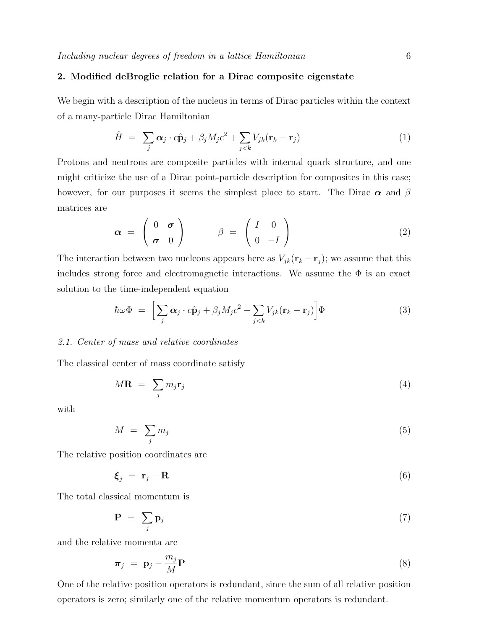## 2. Modified deBroglie relation for a Dirac composite eigenstate

We begin with a description of the nucleus in terms of Dirac particles within the context of a many-particle Dirac Hamiltonian

$$
\hat{H} = \sum_{j} \alpha_j \cdot c \hat{\mathbf{p}}_j + \beta_j M_j c^2 + \sum_{j < k} V_{jk} (\mathbf{r}_k - \mathbf{r}_j) \tag{1}
$$

Protons and neutrons are composite particles with internal quark structure, and one might criticize the use of a Dirac point-particle description for composites in this case; however, for our purposes it seems the simplest place to start. The Dirac  $\alpha$  and  $\beta$ matrices are

$$
\boldsymbol{\alpha} = \begin{pmatrix} 0 & \boldsymbol{\sigma} \\ \boldsymbol{\sigma} & 0 \end{pmatrix} \qquad \boldsymbol{\beta} = \begin{pmatrix} I & 0 \\ 0 & -I \end{pmatrix} \tag{2}
$$

The interaction between two nucleons appears here as  $V_{jk}(\mathbf{r}_k - \mathbf{r}_j)$ ; we assume that this includes strong force and electromagnetic interactions. We assume the  $\Phi$  is an exact solution to the time-independent equation

<span id="page-5-0"></span>
$$
\hbar\omega\Phi = \left[\sum_{j}\alpha_{j}\cdot c\hat{\mathbf{p}}_{j} + \beta_{j}M_{j}c^{2} + \sum_{j\n(3)
$$

#### 2.1. Center of mass and relative coordinates

The classical center of mass coordinate satisfy

$$
M\mathbf{R} = \sum_{j} m_j \mathbf{r}_j \tag{4}
$$

with

$$
M = \sum_{j} m_j \tag{5}
$$

The relative position coordinates are

$$
\boldsymbol{\xi}_j = \mathbf{r}_j - \mathbf{R} \tag{6}
$$

The total classical momentum is

$$
\mathbf{P} = \sum_{j} \mathbf{p}_{j} \tag{7}
$$

and the relative momenta are

$$
\boldsymbol{\pi}_j = \mathbf{p}_j - \frac{m_j}{M} \mathbf{P}
$$
 (8)

One of the relative position operators is redundant, since the sum of all relative position operators is zero; similarly one of the relative momentum operators is redundant.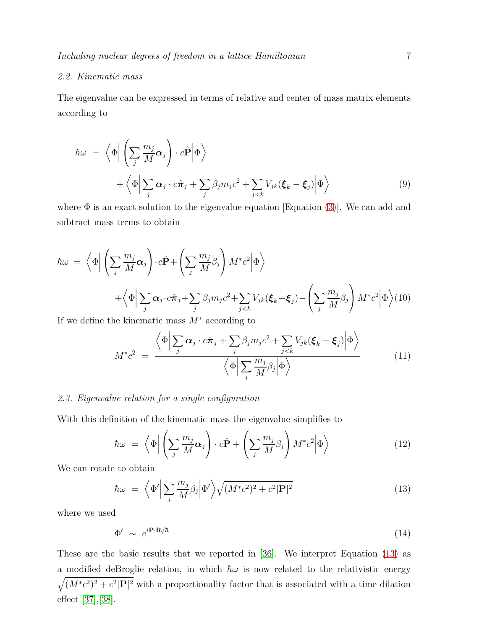# 2.2. Kinematic mass

The eigenvalue can be expressed in terms of relative and center of mass matrix elements according to

$$
\hbar \omega = \left\langle \Phi \Big| \left( \sum_{j} \frac{m_{j}}{M} \alpha_{j} \right) \cdot c \hat{\mathbf{P}} \Big| \Phi \right\rangle + \left\langle \Phi \Big| \sum_{j} \alpha_{j} \cdot c \hat{\pi}_{j} + \sum_{j} \beta_{j} m_{j} c^{2} + \sum_{j < k} V_{jk} (\boldsymbol{\xi}_{k} - \boldsymbol{\xi}_{j}) \Big| \Phi \right\rangle
$$
\n(9)

where  $\Phi$  is an exact solution to the eigenvalue equation [Equation [\(3\)](#page-5-0)]. We can add and subtract mass terms to obtain

$$
\hbar\omega = \left\langle \Phi \middle| \left( \sum_{j} \frac{m_j}{M} \alpha_j \right) \cdot c \hat{\mathbf{P}} + \left( \sum_{j} \frac{m_j}{M} \beta_j \right) M^* c^2 \middle| \Phi \right\rangle \n+ \left\langle \Phi \middle| \sum_{j} \alpha_j \cdot c \hat{\pi}_j + \sum_{j} \beta_j m_j c^2 + \sum_{j < k} V_{jk} (\boldsymbol{\xi}_k - \boldsymbol{\xi}_j) - \left( \sum_{j} \frac{m_j}{M} \beta_j \right) M^* c^2 \middle| \Phi \right\rangle (10)
$$

If we define the kinematic mass  $M^*$  according to

$$
M^*c^2 = \frac{\left\langle \Phi \Big| \sum_j \alpha_j \cdot c\hat{\pi}_j + \sum_j \beta_j m_j c^2 + \sum_{j < k} V_{jk} (\xi_k - \xi_j) \Big| \Phi \right\rangle}{\left\langle \Phi \Big| \sum_j \frac{m_j}{M} \beta_j \Big| \Phi \right\rangle} \tag{11}
$$

# 2.3. Eigenvalue relation for a single configuration

With this definition of the kinematic mass the eigenvalue simplifies to

$$
\hbar \omega = \left\langle \Phi \middle| \left( \sum_{j} \frac{m_j}{M} \alpha_j \right) \cdot c \hat{\mathbf{P}} + \left( \sum_{j} \frac{m_j}{M} \beta_j \right) M^* c^2 \middle| \Phi \right\rangle \tag{12}
$$

We can rotate to obtain

<span id="page-6-0"></span>
$$
\hbar\omega = \left\langle \Phi' \Big| \sum_{j} \frac{m_j}{M} \beta_j \Big| \Phi' \right\rangle \sqrt{(M^*c^2)^2 + c^2 |\mathbf{P}|^2}
$$
\n(13)

where we used

$$
\Phi' \sim e^{i\mathbf{P}\cdot\mathbf{R}/\hbar} \tag{14}
$$

These are the basic results that we reported in [\[36\]](#page-23-13). We interpret Equation [\(13\)](#page-6-0) as a modified deBroglie relation, in which  $\hbar\omega$  is now related to the relativistic energy  $\sqrt{(M^*c^2)^2+c^2|\mathbf{P}|^2}$  with a proportionality factor that is associated with a time dilation effect [\[37\]](#page-23-14),[\[38\]](#page-23-15).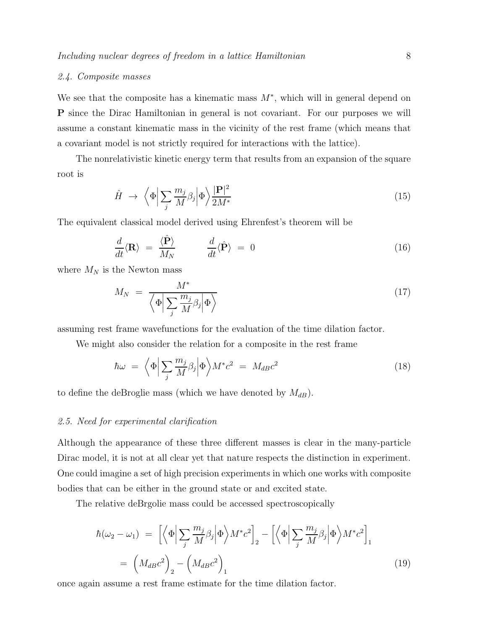#### 2.4. Composite masses

We see that the composite has a kinematic mass  $M^*$ , which will in general depend on P since the Dirac Hamiltonian in general is not covariant. For our purposes we will assume a constant kinematic mass in the vicinity of the rest frame (which means that a covariant model is not strictly required for interactions with the lattice).

The nonrelativistic kinetic energy term that results from an expansion of the square root is

$$
\hat{H} \rightarrow \left\langle \Phi \Big| \sum_{j} \frac{m_j}{M} \beta_j \Big| \Phi \right\rangle \frac{|\mathbf{P}|^2}{2M^*} \tag{15}
$$

The equivalent classical model derived using Ehrenfest's theorem will be

$$
\frac{d}{dt}\langle \mathbf{R} \rangle = \frac{\langle \hat{\mathbf{P}} \rangle}{M_N} \qquad \frac{d}{dt}\langle \hat{\mathbf{P}} \rangle = 0 \tag{16}
$$

where  $M_N$  is the Newton mass

$$
M_N = \frac{M^*}{\left\langle \Phi \middle| \sum_j \frac{m_j}{M} \beta_j \middle| \Phi \right\rangle} \tag{17}
$$

assuming rest frame wavefunctions for the evaluation of the time dilation factor.

We might also consider the relation for a composite in the rest frame

$$
\hbar\omega = \left\langle \Phi \middle| \sum_{j} \frac{m_j}{M} \beta_j \middle| \Phi \right\rangle M^* c^2 = M_{dB} c^2 \tag{18}
$$

to define the deBroglie mass (which we have denoted by  $M_{dB}$ ).

#### 2.5. Need for experimental clarification

Although the appearance of these three different masses is clear in the many-particle Dirac model, it is not at all clear yet that nature respects the distinction in experiment. One could imagine a set of high precision experiments in which one works with composite bodies that can be either in the ground state or and excited state.

The relative deBrgolie mass could be accessed spectroscopically

$$
\hbar(\omega_2 - \omega_1) = \left[ \left\langle \Phi \middle| \sum_j \frac{m_j}{M} \beta_j \middle| \Phi \right\rangle M^* c^2 \right]_2 - \left[ \left\langle \Phi \middle| \sum_j \frac{m_j}{M} \beta_j \middle| \Phi \right\rangle M^* c^2 \right]_1
$$
\n
$$
= \left( M_{dB} c^2 \right)_2 - \left( M_{dB} c^2 \right)_1 \tag{19}
$$

once again assume a rest frame estimate for the time dilation factor.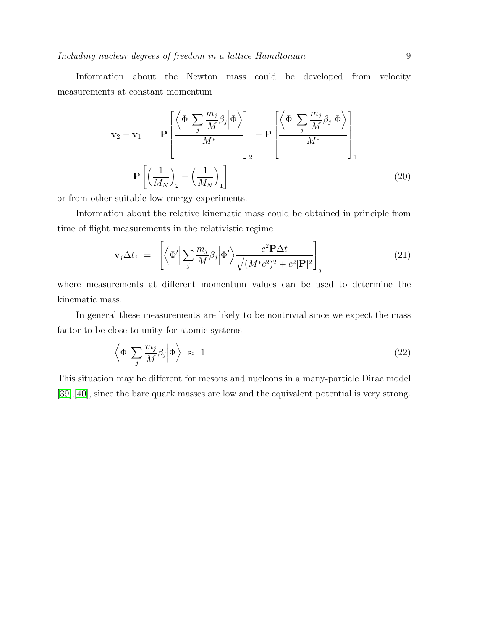Information about the Newton mass could be developed from velocity measurements at constant momentum

$$
\mathbf{v}_{2} - \mathbf{v}_{1} = \mathbf{P} \left[ \frac{\left\langle \Phi \middle| \sum_{j} \frac{m_{j}}{M} \beta_{j} \middle| \Phi \right\rangle}{M^{*}} \right]_{2} - \mathbf{P} \left[ \frac{\left\langle \Phi \middle| \sum_{j} \frac{m_{j}}{M} \beta_{j} \middle| \Phi \right\rangle}{M^{*}} \right]_{1}
$$

$$
= \mathbf{P} \left[ \left( \frac{1}{M_{N}} \right)_{2} - \left( \frac{1}{M_{N}} \right)_{1} \right] \tag{20}
$$

or from other suitable low energy experiments.

Information about the relative kinematic mass could be obtained in principle from time of flight measurements in the relativistic regime

$$
\mathbf{v}_{j} \Delta t_{j} = \left[ \left\langle \Phi' \middle| \sum_{j} \frac{m_{j}}{M} \beta_{j} \middle| \Phi' \right\rangle \frac{c^{2} \mathbf{P} \Delta t}{\sqrt{(M^{*} c^{2})^{2} + c^{2} |\mathbf{P}|^{2}}} \right]_{j} \tag{21}
$$

where measurements at different momentum values can be used to determine the kinematic mass.

In general these measurements are likely to be nontrivial since we expect the mass factor to be close to unity for atomic systems

$$
\left\langle \Phi \Big| \sum_{j} \frac{m_j}{M} \beta_j \Big| \Phi \right\rangle \approx 1 \tag{22}
$$

This situation may be different for mesons and nucleons in a many-particle Dirac model [\[39\]](#page-23-16),[\[40\]](#page-23-17), since the bare quark masses are low and the equivalent potential is very strong.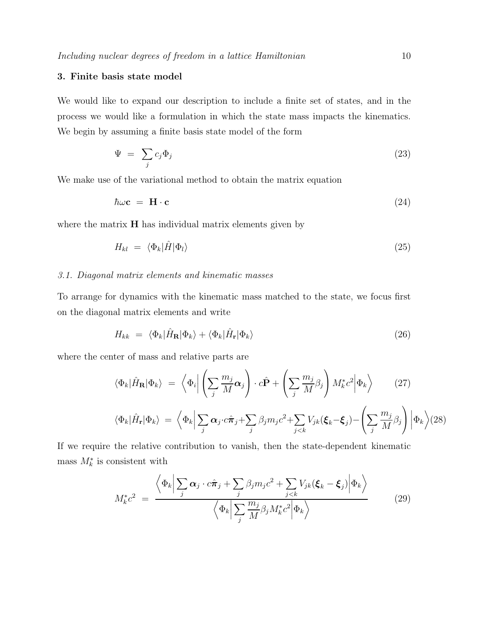# 3. Finite basis state model

We would like to expand our description to include a finite set of states, and in the process we would like a formulation in which the state mass impacts the kinematics. We begin by assuming a finite basis state model of the form

$$
\Psi = \sum_{j} c_j \Phi_j \tag{23}
$$

We make use of the variational method to obtain the matrix equation

$$
\hbar\omega\mathbf{c} = \mathbf{H}\cdot\mathbf{c} \tag{24}
$$

where the matrix  $H$  has individual matrix elements given by

$$
H_{kl} = \langle \Phi_k | \hat{H} | \Phi_l \rangle \tag{25}
$$

## 3.1. Diagonal matrix elements and kinematic masses

To arrange for dynamics with the kinematic mass matched to the state, we focus first on the diagonal matrix elements and write

$$
H_{kk} = \langle \Phi_k | \hat{H}_{\mathbf{R}} | \Phi_k \rangle + \langle \Phi_k | \hat{H}_{\mathbf{r}} | \Phi_k \rangle \tag{26}
$$

where the center of mass and relative parts are

$$
\langle \Phi_k | \hat{H}_{\mathbf{R}} | \Phi_k \rangle = \left\langle \Phi_i \middle| \left( \sum_j \frac{m_j}{M} \alpha_j \right) \cdot c \hat{\mathbf{P}} + \left( \sum_j \frac{m_j}{M} \beta_j \right) M_k^* c^2 \middle| \Phi_k \right\rangle \tag{27}
$$

$$
\langle \Phi_k | \hat{H}_{\mathbf{r}} | \Phi_k \rangle = \left\langle \Phi_k \middle| \sum_j \alpha_j \cdot c \hat{\pi}_j + \sum_j \beta_j m_j c^2 + \sum_{j < k} V_{jk} (\boldsymbol{\xi}_k - \boldsymbol{\xi}_j) - \left( \sum_j \frac{m_j}{M} \beta_j \right) \middle| \Phi_k \right\rangle \tag{28}
$$

If we require the relative contribution to vanish, then the state-dependent kinematic mass  $M_k^*$  is consistent with

$$
M_{k}^{*}c^{2} = \frac{\left\langle \Phi_{k} \Big| \sum_{j} \alpha_{j} \cdot c\hat{\pi}_{j} + \sum_{j} \beta_{j} m_{j} c^{2} + \sum_{j < k} V_{jk} (\boldsymbol{\xi}_{k} - \boldsymbol{\xi}_{j}) \Big| \Phi_{k} \right\rangle}{\left\langle \Phi_{k} \Big| \sum_{j} \frac{m_{j}}{M} \beta_{j} M_{k}^{*} c^{2} \Big| \Phi_{k} \right\rangle} \tag{29}
$$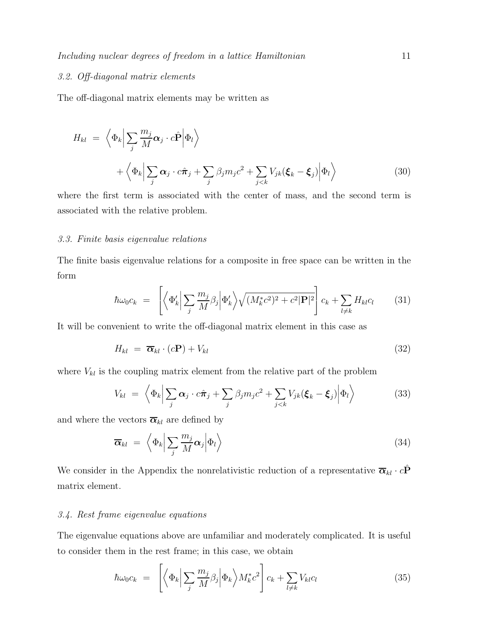# 3.2. Off-diagonal matrix elements

The off-diagonal matrix elements may be written as

$$
H_{kl} = \left\langle \Phi_k \middle| \sum_j \frac{m_j}{M} \alpha_j \cdot c \hat{\mathbf{P}} \middle| \Phi_l \right\rangle
$$
  
+ 
$$
\left\langle \Phi_k \middle| \sum_j \alpha_j \cdot c \hat{\pi}_j + \sum_j \beta_j m_j c^2 + \sum_{j < k} V_{jk} (\boldsymbol{\xi}_k - \boldsymbol{\xi}_j) \middle| \Phi_l \right\rangle
$$
 (30)

where the first term is associated with the center of mass, and the second term is associated with the relative problem.

#### 3.3. Finite basis eigenvalue relations

The finite basis eigenvalue relations for a composite in free space can be written in the form

$$
\hbar\omega_0 c_k = \left[ \left\langle \Phi'_k \middle| \sum_j \frac{m_j}{M} \beta_j \middle| \Phi'_k \right\rangle \sqrt{(M_k^* c^2)^2 + c^2 |\mathbf{P}|^2} \right] c_k + \sum_{l \neq k} H_{kl} c_l \tag{31}
$$

It will be convenient to write the off-diagonal matrix element in this case as

$$
H_{kl} = \overline{\alpha}_{kl} \cdot (c\mathbf{P}) + V_{kl} \tag{32}
$$

where  $V_{kl}$  is the coupling matrix element from the relative part of the problem

$$
V_{kl} = \left\langle \Phi_k \middle| \sum_j \alpha_j \cdot c \hat{\pi}_j + \sum_j \beta_j m_j c^2 + \sum_{j < k} V_{jk} (\boldsymbol{\xi}_k - \boldsymbol{\xi}_j) \middle| \Phi_l \right\rangle \tag{33}
$$

and where the vectors  $\overline{\alpha}_{kl}$  are defined by

$$
\overline{\boldsymbol{\alpha}}_{kl} = \left\langle \Phi_k \middle| \sum_j \frac{m_j}{M} \boldsymbol{\alpha}_j \middle| \Phi_l \right\rangle \tag{34}
$$

We consider in the Appendix the nonrelativistic reduction of a representative  $\bar{\boldsymbol{\alpha}}_{kl} \cdot c\hat{\mathbf{P}}$ matrix element.

#### 3.4. Rest frame eigenvalue equations

 $\overline{a}$ 

The eigenvalue equations above are unfamiliar and moderately complicated. It is useful to consider them in the rest frame; in this case, we obtain

$$
\hbar\omega_0 c_k = \left[ \left\langle \Phi_k \middle| \sum_j \frac{m_j}{M} \beta_j \middle| \Phi_k \right\rangle M_k^* c^2 \right] c_k + \sum_{l \neq k} V_{kl} c_l \tag{35}
$$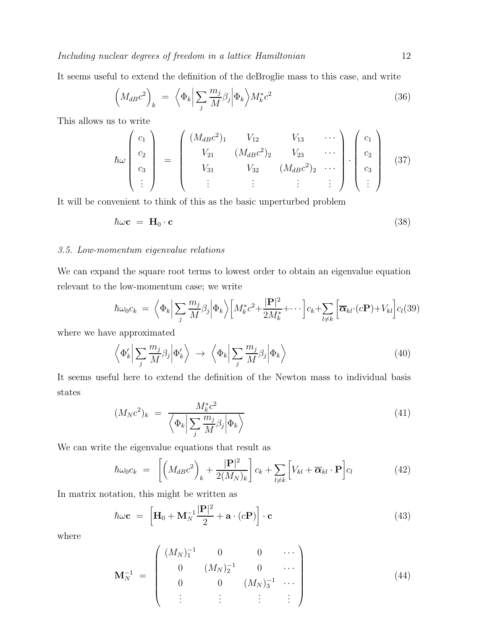Including nuclear degrees of freedom in a lattice Hamiltonian 12

It seems useful to extend the definition of the deBroglie mass to this case, and write

$$
\left(M_{dB}c^2\right)_k = \left\langle \Phi_k \middle| \sum_j \frac{m_j}{M} \beta_j \middle| \Phi_k \right\rangle M_k^* c^2 \tag{36}
$$

This allows us to write

$$
\hbar\omega\begin{pmatrix}c_1\\c_2\\c_3\\ \vdots\end{pmatrix} = \begin{pmatrix} (M_{dB}c^2)_1 & V_{12} & V_{13} & \cdots \\ V_{21} & (M_{dB}c^2)_2 & V_{23} & \cdots \\ V_{31} & V_{32} & (M_{dB}c^2)_2 & \cdots \\ \vdots & \vdots & \vdots & \vdots \end{pmatrix} \cdot \begin{pmatrix}c_1\\c_2\\c_3\\ \vdots\end{pmatrix}
$$
(37)

It will be convenient to think of this as the basic unperturbed problem

$$
\hbar\omega\mathbf{c} = \mathbf{H}_0 \cdot \mathbf{c} \tag{38}
$$

#### 3.5. Low-momentum eigenvalue relations

We can expand the square root terms to lowest order to obtain an eigenvalue equation relevant to the low-momentum case; we write

$$
\hbar\omega_0 c_k = \left\langle \Phi_k \Big| \sum_j \frac{m_j}{M} \beta_j \Big| \Phi_k \right\rangle \Big[ M_k^* c^2 + \frac{|\mathbf{P}|^2}{2M_k^*} + \cdots \Big] c_k + \sum_{l \neq k} \Big[ \overline{\mathbf{\alpha}}_{kl} \cdot (c\mathbf{P}) + V_{kl} \Big] c_l(39)
$$

where we have approximated

$$
\left\langle \Phi_k' \Big| \sum_j \frac{m_j}{M} \beta_j \Big| \Phi_k' \right\rangle \rightarrow \left\langle \Phi_k \Big| \sum_j \frac{m_j}{M} \beta_j \Big| \Phi_k \right\rangle \tag{40}
$$

It seems useful here to extend the definition of the Newton mass to individual basis states

$$
(M_N c^2)_k = \frac{M_k^* c^2}{\left\langle \Phi_k \middle| \sum_j \frac{m_j}{M} \beta_j \middle| \Phi_k \right\rangle} \tag{41}
$$

We can write the eigenvalue equations that result as

$$
\hbar\omega_0 c_k = \left[ \left( M_{dB} c^2 \right)_k + \frac{|\mathbf{P}|^2}{2(M_N)_k} \right] c_k + \sum_{l \neq k} \left[ V_{kl} + \overline{\boldsymbol{\alpha}}_{kl} \cdot \mathbf{P} \right] c_l \tag{42}
$$

In matrix notation, this might be written as

$$
\hbar\omega\mathbf{c} = \left[\mathbf{H}_0 + \mathbf{M}_N^{-1}\frac{|\mathbf{P}|^2}{2} + \mathbf{a} \cdot (c\mathbf{P})\right] \cdot \mathbf{c}
$$
\n(43)

where

$$
\mathbf{M}_{N}^{-1} = \begin{pmatrix} (M_{N})_{1}^{-1} & 0 & 0 & \cdots \\ 0 & (M_{N})_{2}^{-1} & 0 & \cdots \\ 0 & 0 & (M_{N})_{3}^{-1} & \cdots \\ \vdots & \vdots & \vdots & \vdots \end{pmatrix}
$$
(44)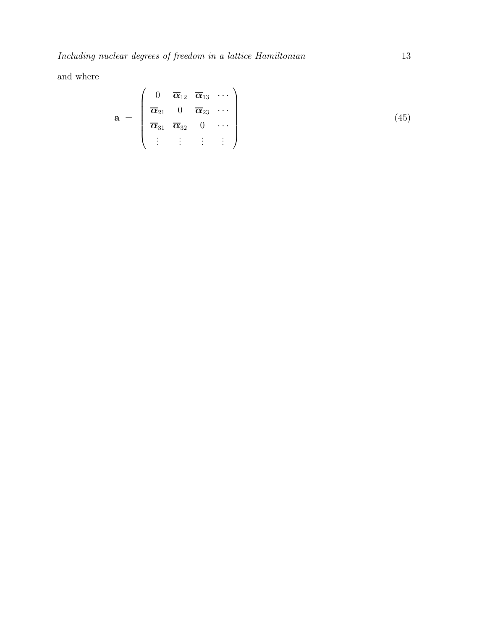and where

$$
\mathbf{a} = \begin{pmatrix} 0 & \overline{\alpha}_{12} & \overline{\alpha}_{13} & \cdots \\ \overline{\alpha}_{21} & 0 & \overline{\alpha}_{23} & \cdots \\ \overline{\alpha}_{31} & \overline{\alpha}_{32} & 0 & \cdots \\ \vdots & \vdots & \vdots & \vdots \end{pmatrix}
$$
(45)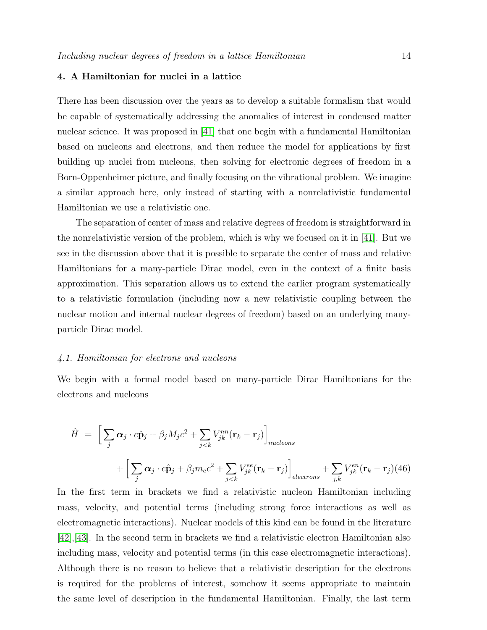#### 4. A Hamiltonian for nuclei in a lattice

There has been discussion over the years as to develop a suitable formalism that would be capable of systematically addressing the anomalies of interest in condensed matter nuclear science. It was proposed in [\[41\]](#page-23-18) that one begin with a fundamental Hamiltonian based on nucleons and electrons, and then reduce the model for applications by first building up nuclei from nucleons, then solving for electronic degrees of freedom in a Born-Oppenheimer picture, and finally focusing on the vibrational problem. We imagine a similar approach here, only instead of starting with a nonrelativistic fundamental Hamiltonian we use a relativistic one.

The separation of center of mass and relative degrees of freedom is straightforward in the nonrelativistic version of the problem, which is why we focused on it in [\[41\]](#page-23-18). But we see in the discussion above that it is possible to separate the center of mass and relative Hamiltonians for a many-particle Dirac model, even in the context of a finite basis approximation. This separation allows us to extend the earlier program systematically to a relativistic formulation (including now a new relativistic coupling between the nuclear motion and internal nuclear degrees of freedom) based on an underlying manyparticle Dirac model.

#### 4.1. Hamiltonian for electrons and nucleons

We begin with a formal model based on many-particle Dirac Hamiltonians for the electrons and nucleons

$$
\hat{H} = \left[ \sum_{j} \alpha_{j} \cdot c \hat{\mathbf{p}}_{j} + \beta_{j} M_{j} c^{2} + \sum_{j < k} V_{jk}^{nn} (\mathbf{r}_{k} - \mathbf{r}_{j}) \right]_{nucleons} + \left[ \sum_{j} \alpha_{j} \cdot c \hat{\mathbf{p}}_{j} + \beta_{j} m_{e} c^{2} + \sum_{j < k} V_{jk}^{ee} (\mathbf{r}_{k} - \mathbf{r}_{j}) \right]_{electrons} + \sum_{j,k} V_{jk}^{en} (\mathbf{r}_{k} - \mathbf{r}_{j}) (46)
$$

In the first term in brackets we find a relativistic nucleon Hamiltonian including mass, velocity, and potential terms (including strong force interactions as well as electromagnetic interactions). Nuclear models of this kind can be found in the literature [\[42\]](#page-23-19),[\[43\]](#page-23-20). In the second term in brackets we find a relativistic electron Hamiltonian also including mass, velocity and potential terms (in this case electromagnetic interactions). Although there is no reason to believe that a relativistic description for the electrons is required for the problems of interest, somehow it seems appropriate to maintain the same level of description in the fundamental Hamiltonian. Finally, the last term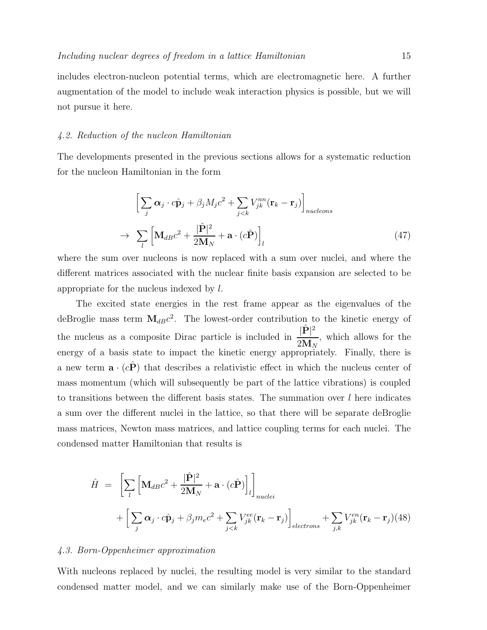includes electron-nucleon potential terms, which are electromagnetic here. A further augmentation of the model to include weak interaction physics is possible, but we will not pursue it here.

# 4.2. Reduction of the nucleon Hamiltonian

The developments presented in the previous sections allows for a systematic reduction for the nucleon Hamiltonian in the form

$$
\left[\sum_{j} \alpha_{j} \cdot c\hat{\mathbf{p}}_{j} + \beta_{j} M_{j} c^{2} + \sum_{j < k} V_{jk}^{nn} (\mathbf{r}_{k} - \mathbf{r}_{j})\right]_{nucleons}
$$
\n
$$
\rightarrow \sum_{l} \left[\mathbf{M}_{dB} c^{2} + \frac{|\hat{\mathbf{P}}|^{2}}{2\mathbf{M}_{N}} + \mathbf{a} \cdot (c\hat{\mathbf{P}})\right]_{l} \tag{47}
$$

where the sum over nucleons is now replaced with a sum over nuclei, and where the different matrices associated with the nuclear finite basis expansion are selected to be appropriate for the nucleus indexed by l.

The excited state energies in the rest frame appear as the eigenvalues of the deBroglie mass term  $M_{dB}c^2$ . The lowest-order contribution to the kinetic energy of the nucleus as a composite Dirac particle is included in  $\frac{|\hat{\mathbf{P}}|^2}{2M}$  $\frac{1}{2}M_N$ , which allows for the energy of a basis state to impact the kinetic energy appropriately. Finally, there is a new term  $\mathbf{a} \cdot (c\mathbf{P})$  that describes a relativistic effect in which the nucleus center of mass momentum (which will subsequently be part of the lattice vibrations) is coupled to transitions between the different basis states. The summation over  $l$  here indicates a sum over the different nuclei in the lattice, so that there will be separate deBroglie mass matrices, Newton mass matrices, and lattice coupling terms for each nuclei. The condensed matter Hamiltonian that results is

$$
\hat{H} = \left[ \sum_{l} \left[ \mathbf{M}_{dB} c^2 + \frac{|\hat{\mathbf{P}}|^2}{2\mathbf{M}_N} + \mathbf{a} \cdot (c\hat{\mathbf{P}}) \right]_l \right]_{nuclei} + \left[ \sum_{j} \alpha_j \cdot c\hat{\mathbf{p}}_j + \beta_j m_e c^2 + \sum_{j < k} V_{jk}^{ee} (\mathbf{r}_k - \mathbf{r}_j) \right]_{electrons} + \sum_{j,k} V_{jk}^{en} (\mathbf{r}_k - \mathbf{r}_j) (48)
$$

#### 4.3. Born-Oppenheimer approximation

With nucleons replaced by nuclei, the resulting model is very similar to the standard condensed matter model, and we can similarly make use of the Born-Oppenheimer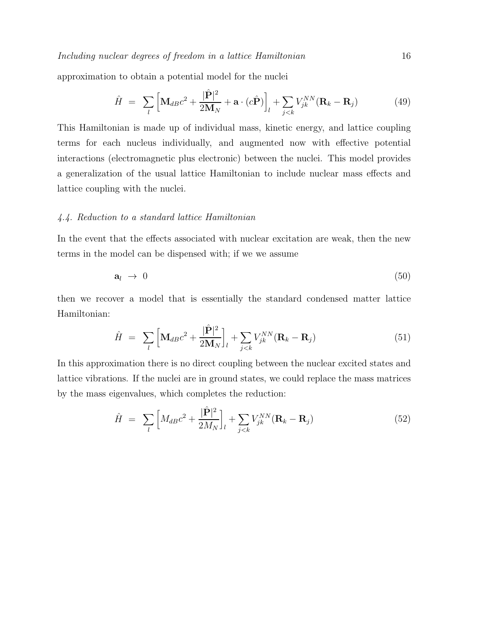approximation to obtain a potential model for the nuclei

$$
\hat{H} = \sum_{l} \left[ \mathbf{M}_{dB} c^2 + \frac{|\hat{\mathbf{P}}|^2}{2\mathbf{M}_N} + \mathbf{a} \cdot (c\hat{\mathbf{P}}) \right]_l + \sum_{j < k} V_{jk}^{NN} (\mathbf{R}_k - \mathbf{R}_j) \tag{49}
$$

This Hamiltonian is made up of individual mass, kinetic energy, and lattice coupling terms for each nucleus individually, and augmented now with effective potential interactions (electromagnetic plus electronic) between the nuclei. This model provides a generalization of the usual lattice Hamiltonian to include nuclear mass effects and lattice coupling with the nuclei.

#### 4.4. Reduction to a standard lattice Hamiltonian

In the event that the effects associated with nuclear excitation are weak, then the new terms in the model can be dispensed with; if we we assume

$$
\mathbf{a}_l \ \rightarrow \ 0 \tag{50}
$$

then we recover a model that is essentially the standard condensed matter lattice Hamiltonian:

$$
\hat{H} = \sum_{l} \left[ \mathbf{M}_{dB} c^2 + \frac{|\hat{\mathbf{P}}|^2}{2\mathbf{M}_N} \right]_l + \sum_{j < k} V_{jk}^{NN} (\mathbf{R}_k - \mathbf{R}_j) \tag{51}
$$

In this approximation there is no direct coupling between the nuclear excited states and lattice vibrations. If the nuclei are in ground states, we could replace the mass matrices by the mass eigenvalues, which completes the reduction:

$$
\hat{H} = \sum_{l} \left[ M_{dB} c^2 + \frac{|\hat{\mathbf{P}}|^2}{2M_N} \right]_l + \sum_{j < k} V_{jk}^{NN} (\mathbf{R}_k - \mathbf{R}_j) \tag{52}
$$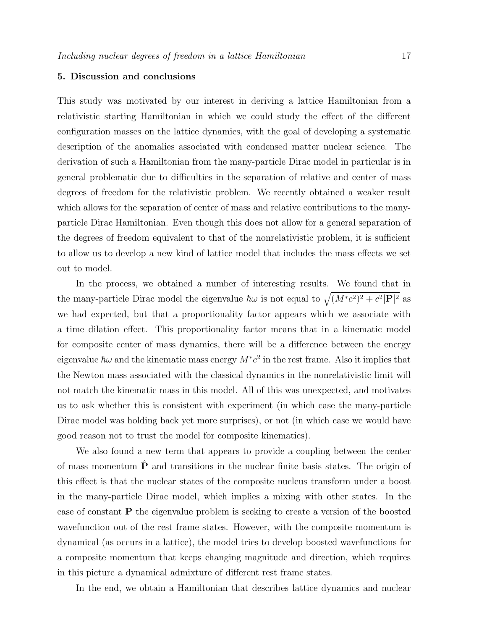#### 5. Discussion and conclusions

This study was motivated by our interest in deriving a lattice Hamiltonian from a relativistic starting Hamiltonian in which we could study the effect of the different configuration masses on the lattice dynamics, with the goal of developing a systematic description of the anomalies associated with condensed matter nuclear science. The derivation of such a Hamiltonian from the many-particle Dirac model in particular is in general problematic due to difficulties in the separation of relative and center of mass degrees of freedom for the relativistic problem. We recently obtained a weaker result which allows for the separation of center of mass and relative contributions to the manyparticle Dirac Hamiltonian. Even though this does not allow for a general separation of the degrees of freedom equivalent to that of the nonrelativistic problem, it is sufficient to allow us to develop a new kind of lattice model that includes the mass effects we set out to model.

In the process, we obtained a number of interesting results. We found that in the many-particle Dirac model the eigenvalue  $\hbar\omega$  is not equal to  $\sqrt{(M^*c^2)^2+c^2|\mathbf{P}|^2}$  as we had expected, but that a proportionality factor appears which we associate with a time dilation effect. This proportionality factor means that in a kinematic model for composite center of mass dynamics, there will be a difference between the energy eigenvalue  $\hbar\omega$  and the kinematic mass energy  $M^*c^2$  in the rest frame. Also it implies that the Newton mass associated with the classical dynamics in the nonrelativistic limit will not match the kinematic mass in this model. All of this was unexpected, and motivates us to ask whether this is consistent with experiment (in which case the many-particle Dirac model was holding back yet more surprises), or not (in which case we would have good reason not to trust the model for composite kinematics).

We also found a new term that appears to provide a coupling between the center of mass momentum  $\hat{P}$  and transitions in the nuclear finite basis states. The origin of this effect is that the nuclear states of the composite nucleus transform under a boost in the many-particle Dirac model, which implies a mixing with other states. In the case of constant P the eigenvalue problem is seeking to create a version of the boosted wavefunction out of the rest frame states. However, with the composite momentum is dynamical (as occurs in a lattice), the model tries to develop boosted wavefunctions for a composite momentum that keeps changing magnitude and direction, which requires in this picture a dynamical admixture of different rest frame states.

In the end, we obtain a Hamiltonian that describes lattice dynamics and nuclear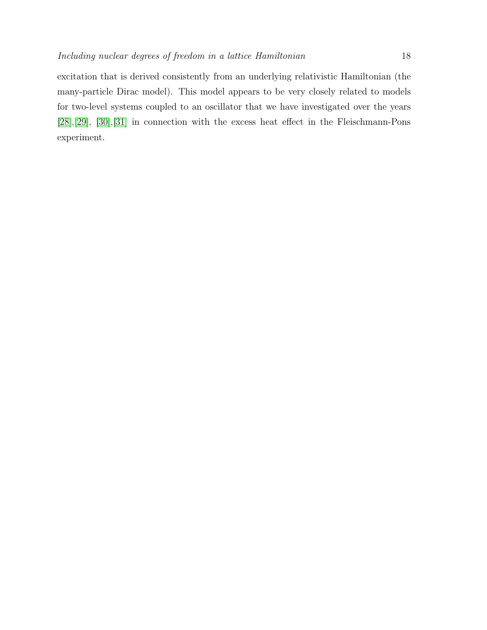excitation that is derived consistently from an underlying relativistic Hamiltonian (the

many-particle Dirac model). This model appears to be very closely related to models for two-level systems coupled to an oscillator that we have investigated over the years [\[28\]](#page-23-5),[\[29\]](#page-23-6), [\[30\]](#page-23-7),[\[31\]](#page-23-8) in connection with the excess heat effect in the Fleischmann-Pons experiment.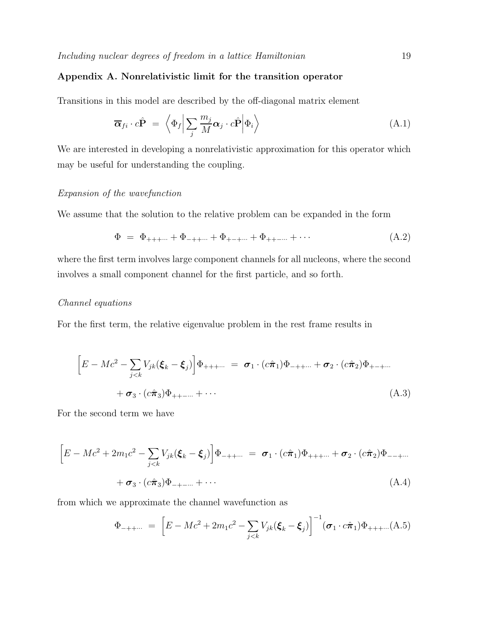# Appendix A. Nonrelativistic limit for the transition operator

Transitions in this model are described by the off-diagonal matrix element

$$
\overline{\boldsymbol{\alpha}}_{fi} \cdot c\hat{\mathbf{P}} = \left\langle \Phi_f \middle| \sum_j \frac{m_j}{M} \boldsymbol{\alpha}_j \cdot c\hat{\mathbf{P}} \middle| \Phi_i \right\rangle \tag{A.1}
$$

We are interested in developing a nonrelativistic approximation for this operator which may be useful for understanding the coupling.

#### Expansion of the wavefunction

We assume that the solution to the relative problem can be expanded in the form

$$
\Phi = \Phi_{+++\cdots} + \Phi_{-++\cdots} + \Phi_{+-+\cdots} + \Phi_{++-\cdots} + \cdots \tag{A.2}
$$

where the first term involves large component channels for all nucleons, where the second involves a small component channel for the first particle, and so forth.

# Channel equations

For the first term, the relative eigenvalue problem in the rest frame results in

$$
\[E - Mc^2 - \sum_{j < k} V_{jk} (\xi_k - \xi_j) \] \Phi_{+++\cdots} = \sigma_1 \cdot (c \hat{\pi}_1) \Phi_{-++\cdots} + \sigma_2 \cdot (c \hat{\pi}_2) \Phi_{+-+\cdots} + \sigma_3 \cdot (c \hat{\pi}_3) \Phi_{++-\cdots} + \cdots \tag{A.3}
$$

For the second term we have

$$
\[E - Mc^2 + 2m_1c^2 - \sum_{j < k} V_{jk}(\xi_k - \xi_j)\] \Phi_{-++\cdots} = \sigma_1 \cdot (c\hat{\pi}_1) \Phi_{+++\cdots} + \sigma_2 \cdot (c\hat{\pi}_2) \Phi_{--+\cdots} + \sigma_3 \cdot (c\hat{\pi}_3) \Phi_{-+-\cdots} + \cdots \tag{A.4}
$$

from which we approximate the channel wavefunction as

$$
\Phi_{-++\cdots} = \left[ E - Mc^2 + 2m_1 c^2 - \sum_{j < k} V_{jk} (\boldsymbol{\xi}_k - \boldsymbol{\xi}_j) \right]^{-1} (\boldsymbol{\sigma}_1 \cdot c \hat{\boldsymbol{\pi}}_1) \Phi_{+++\cdots}(\mathbf{A}.\mathbf{5})
$$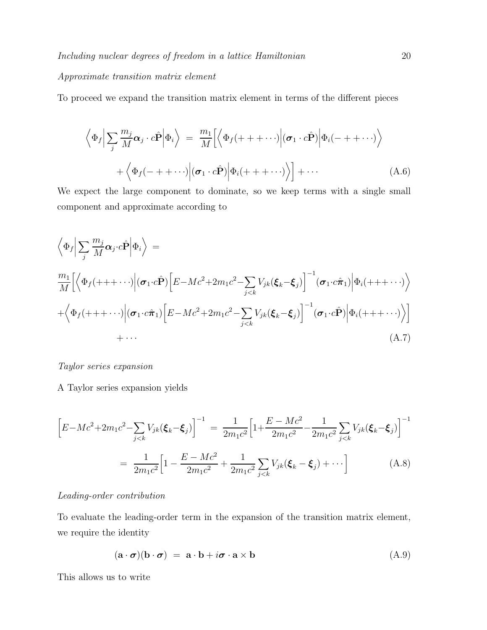#### Approximate transition matrix element

To proceed we expand the transition matrix element in terms of the different pieces

$$
\left\langle \Phi_f \Big| \sum_j \frac{m_j}{M} \alpha_j \cdot c \hat{\mathbf{P}} \Big| \Phi_i \right\rangle = \frac{m_1}{M} \Big[ \left\langle \Phi_f (+ + + \cdots) \Big| (\sigma_1 \cdot c \hat{\mathbf{P}}) \Big| \Phi_i (- + + \cdots) \right\rangle + \left\langle \Phi_f (- + + \cdots) \Big| (\sigma_1 \cdot c \hat{\mathbf{P}}) \Big| \Phi_i (+ + + \cdots) \right\rangle \Big] + \cdots
$$
(A.6)

We expect the large component to dominate, so we keep terms with a single small component and approximate according to

$$
\langle \Phi_f | \sum_j \frac{m_j}{M} \alpha_j \cdot c \hat{\mathbf{P}} | \Phi_i \rangle =
$$
\n
$$
\frac{m_1}{M} \Big[ \langle \Phi_f (+++ \cdots) | (\sigma_1 \cdot c \hat{\mathbf{P}}) [E - Mc^2 + 2m_1 c^2 - \sum_{j < k} V_{jk} (\xi_k - \xi_j)]^{-1} (\sigma_1 \cdot c \hat{\pi}_1) | \Phi_i (+++ \cdots) \rangle
$$
\n
$$
+ \langle \Phi_f (+++ \cdots) | (\sigma_1 \cdot c \hat{\pi}_1) [E - Mc^2 + 2m_1 c^2 - \sum_{j < k} V_{jk} (\xi_k - \xi_j)]^{-1} (\sigma_1 \cdot c \hat{\mathbf{P}}) | \Phi_i (+++ \cdots) \rangle \Big]
$$
\n
$$
+ \cdots \qquad (A.7)
$$

Taylor series expansion

A Taylor series expansion yields

$$
\left[E - Mc^2 + 2m_1c^2 - \sum_{j < k} V_{jk}(\boldsymbol{\xi}_k - \boldsymbol{\xi}_j)\right]^{-1} = \frac{1}{2m_1c^2} \left[1 + \frac{E - Mc^2}{2m_1c^2} - \frac{1}{2m_1c^2} \sum_{j < k} V_{jk}(\boldsymbol{\xi}_k - \boldsymbol{\xi}_j)\right]^{-1}
$$
\n
$$
= \frac{1}{2m_1c^2} \left[1 - \frac{E - Mc^2}{2m_1c^2} + \frac{1}{2m_1c^2} \sum_{j < k} V_{jk}(\boldsymbol{\xi}_k - \boldsymbol{\xi}_j) + \cdots\right] \tag{A.8}
$$

#### Leading-order contribution

To evaluate the leading-order term in the expansion of the transition matrix element, we require the identity

$$
(\mathbf{a} \cdot \boldsymbol{\sigma})(\mathbf{b} \cdot \boldsymbol{\sigma}) = \mathbf{a} \cdot \mathbf{b} + i\boldsymbol{\sigma} \cdot \mathbf{a} \times \mathbf{b}
$$
 (A.9)

This allows us to write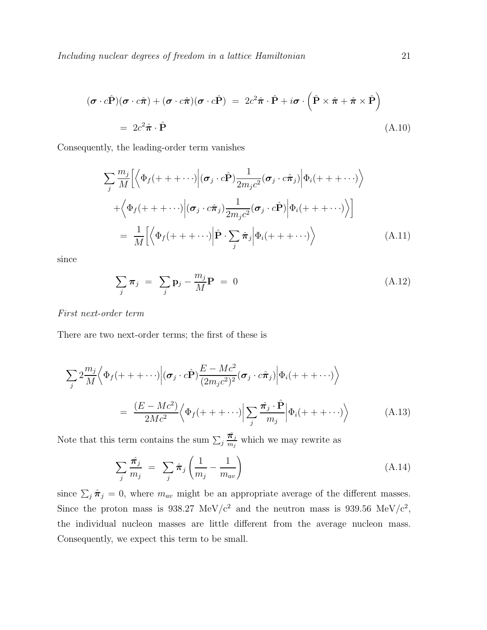$$
(\boldsymbol{\sigma} \cdot c\hat{\mathbf{P}})(\boldsymbol{\sigma} \cdot c\hat{\boldsymbol{\pi}}) + (\boldsymbol{\sigma} \cdot c\hat{\boldsymbol{\pi}})(\boldsymbol{\sigma} \cdot c\hat{\mathbf{P}}) = 2c^2\hat{\boldsymbol{\pi}} \cdot \hat{\mathbf{P}} + i\boldsymbol{\sigma} \cdot (\hat{\mathbf{P}} \times \hat{\boldsymbol{\pi}} + \hat{\boldsymbol{\pi}} \times \hat{\mathbf{P}})
$$
  
=  $2c^2\hat{\boldsymbol{\pi}} \cdot \hat{\mathbf{P}}$  (A.10)

Consequently, the leading-order term vanishes

$$
\sum_{j} \frac{m_{j}}{M} \Biggl[ \Biggl\langle \Phi_{f}(+++\cdots) \Big| (\sigma_{j} \cdot c\hat{\mathbf{P}}) \frac{1}{2m_{j}c^{2}} (\sigma_{j} \cdot c\hat{\pi}_{j}) \Big| \Phi_{i}(+++\cdots) \Biggr\rangle \n+ \Biggl\langle \Phi_{f}(+++\cdots) \Big| (\sigma_{j} \cdot c\hat{\pi}_{j}) \frac{1}{2m_{j}c^{2}} (\sigma_{j} \cdot c\hat{\mathbf{P}}) \Big| \Phi_{i}(+++\cdots) \Biggr\rangle \Biggr] \n= \frac{1}{M} \Biggl[ \Biggl\langle \Phi_{f}(+++\cdots) \Big| \hat{\mathbf{P}} \cdot \sum_{j} \hat{\pi}_{j} \Big| \Phi_{i}(+++\cdots) \Biggr\rangle \n\tag{A.11}
$$

since

$$
\sum_{j} \boldsymbol{\pi}_{j} = \sum_{j} \mathbf{p}_{j} - \frac{m_{j}}{M} \mathbf{P} = 0 \tag{A.12}
$$

First next-order term

There are two next-order terms; the first of these is

$$
\sum_{j} 2 \frac{m_j}{M} \Big\langle \Phi_f(+ + + \cdots) \Big| (\sigma_j \cdot c\hat{\mathbf{P}}) \frac{E - Mc^2}{(2m_j c^2)^2} (\sigma_j \cdot c\hat{\pi}_j) \Big| \Phi_i(+ + + \cdots) \Big\rangle
$$
  
= 
$$
\frac{(E - Mc^2)}{2Mc^2} \Big\langle \Phi_f(+ + + \cdots) \Big| \sum_j \frac{\hat{\pi}_j \cdot \hat{\mathbf{P}}}{m_j} \Big| \Phi_i(+ + + \cdots) \Big\rangle
$$
 (A.13)

Note that this term contains the sum  $\sum_j \frac{\hat{\pi}_j}{m_j}$  $\frac{n_j}{m_j}$  which we may rewrite as

$$
\sum_{j} \frac{\hat{\pi}_j}{m_j} = \sum_{j} \hat{\pi}_j \left( \frac{1}{m_j} - \frac{1}{m_{av}} \right)
$$
(A.14)

since  $\sum_j \hat{\pi}_j = 0$ , where  $m_{av}$  might be an appropriate average of the different masses. Since the proton mass is 938.27 MeV/ $c^2$  and the neutron mass is 939.56 MeV/ $c^2$ , the individual nucleon masses are little different from the average nucleon mass. Consequently, we expect this term to be small.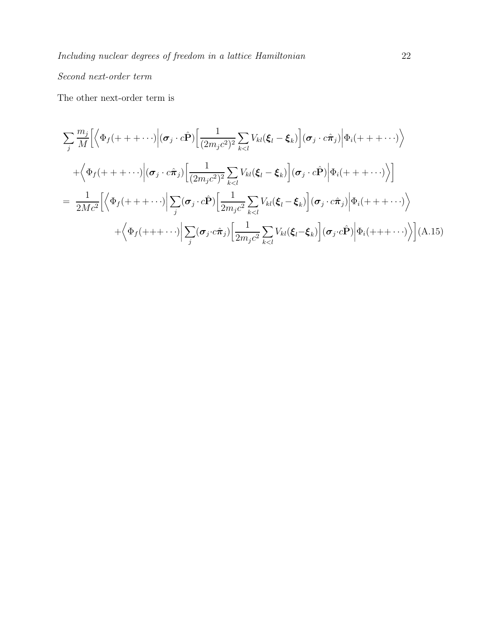# Second next-order term

The other next-order term is

$$
\sum_{j} \frac{m_{j}}{M} \Big[ \Big\langle \Phi_{f}(+++\cdots) \Big| (\sigma_{j} \cdot c\hat{\mathbf{P}}) \Big[ \frac{1}{(2m_{j}c^{2})^{2}} \sum_{k  
+  $\Big\langle \Phi_{f}(+++\cdots) \Big| (\sigma_{j} \cdot c\hat{\pi}_{j}) \Big[ \frac{1}{(2m_{j}c^{2})^{2}} \sum_{k  
=  $\frac{1}{2Mc^{2}} \Big[ \Big\langle \Phi_{f}(+++\cdots) \Big| \sum_{j} (\sigma_{j} \cdot c\hat{\mathbf{P}}) \Big[ \frac{1}{2m_{j}c^{2}} \sum_{k  
+  $\Big\langle \Phi_{f}(+++\cdots) \Big| \sum_{j} (\sigma_{j} \cdot c\hat{\pi}_{j}) \Big[ \frac{1}{2m_{j}c^{2}} \sum_{k(A.15)$$$
$$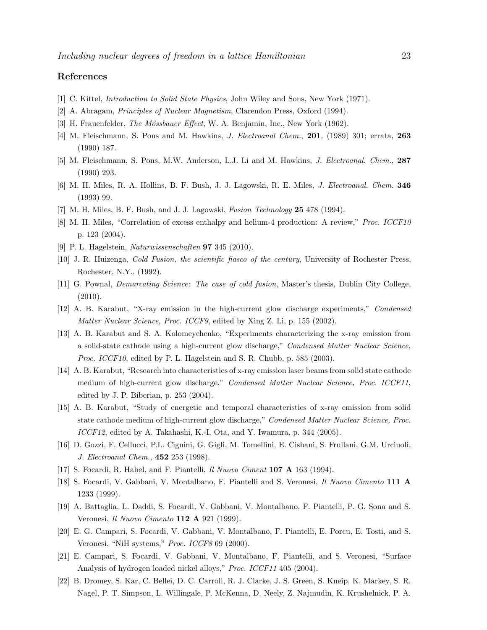#### <span id="page-22-0"></span>References

- <span id="page-22-1"></span>[1] C. Kittel, Introduction to Solid State Physics, John Wiley and Sons, New York (1971).
- <span id="page-22-2"></span>[2] A. Abragam, Principles of Nuclear Magnetism, Clarendon Press, Oxford (1994).
- <span id="page-22-3"></span>[3] H. Frauenfelder, *The Mössbauer Effect*, W. A. Benjamin, Inc., New York (1962).
- <span id="page-22-4"></span>[4] M. Fleischmann, S. Pons and M. Hawkins, *J. Electroanal Chem.*, **201**, (1989) 301; errata, **263** (1990) 187.
- <span id="page-22-5"></span>[5] M. Fleischmann, S. Pons, M.W. Anderson, L.J. Li and M. Hawkins, J. Electroanal. Chem., 287 (1990) 293.
- <span id="page-22-6"></span>[6] M. H. Miles, R. A. Hollins, B. F. Bush, J. J. Lagowski, R. E. Miles, J. Electroanal. Chem. 346 (1993) 99.
- <span id="page-22-7"></span>[7] M. H. Miles, B. F. Bush, and J. J. Lagowski, Fusion Technology 25 478 (1994).
- <span id="page-22-8"></span>[8] M. H. Miles, "Correlation of excess enthalpy and helium-4 production: A review," Proc. ICCF10 p. 123 (2004).
- <span id="page-22-9"></span>[9] P. L. Hagelstein, Naturwissenschaften 97 345 (2010).
- <span id="page-22-10"></span>[10] J. R. Huizenga, Cold Fusion, the scientific fiasco of the century, University of Rochester Press, Rochester, N.Y., (1992).
- <span id="page-22-11"></span>[11] G. Pownal, Demarcating Science: The case of cold fusion, Master's thesis, Dublin City College, (2010).
- <span id="page-22-12"></span>[12] A. B. Karabut, "X-ray emission in the high-current glow discharge experiments," Condensed Matter Nuclear Science, Proc. ICCF9, edited by Xing Z. Li, p. 155 (2002).
- [13] A. B. Karabut and S. A. Kolomeychenko, "Experiments characterizing the x-ray emission from a solid-state cathode using a high-current glow discharge," Condensed Matter Nuclear Science, Proc. ICCF10, edited by P. L. Hagelstein and S. R. Chubb, p. 585 (2003).
- <span id="page-22-13"></span>[14] A. B. Karabut, "Research into characteristics of x-ray emission laser beams from solid state cathode medium of high-current glow discharge," Condensed Matter Nuclear Science, Proc. ICCF11, edited by J. P. Biberian, p. 253 (2004).
- <span id="page-22-14"></span>[15] A. B. Karabut, "Study of energetic and temporal characteristics of x-ray emission from solid state cathode medium of high-current glow discharge," Condensed Matter Nuclear Science, Proc. ICCF12, edited by A. Takahashi, K.-I. Ota, and Y. Iwamura, p. 344 (2005).
- <span id="page-22-16"></span><span id="page-22-15"></span>[16] D. Gozzi, F. Cellucci, P.L. Cignini, G. Gigli, M. Tomellini, E. Cisbani, S. Frullani, G.M. Urciuoli, J. Electroanal Chem., 452 253 (1998).
- <span id="page-22-17"></span>[17] S. Focardi, R. Habel, and F. Piantelli, Il Nuovo Ciment 107 A 163 (1994).
- <span id="page-22-18"></span>[18] S. Focardi, V. Gabbani, V. Montalbano, F. Piantelli and S. Veronesi, Il Nuovo Cimento 111 A 1233 (1999).
- <span id="page-22-19"></span>[19] A. Battaglia, L. Daddi, S. Focardi, V. Gabbani, V. Montalbano, F. Piantelli, P. G. Sona and S. Veronesi, Il Nuovo Cimento 112 A 921 (1999).
- <span id="page-22-20"></span>[20] E. G. Campari, S. Focardi, V. Gabbani, V. Montalbano, F. Piantelli, E. Porcu, E. Tosti, and S. Veronesi, "NiH systems," Proc. ICCF8 69 (2000).
- <span id="page-22-21"></span>[21] E. Campari, S. Focardi, V. Gabbani, V. Montalbano, F. Piantelli, and S. Veronesi, "Surface Analysis of hydrogen loaded nickel alloys," Proc. ICCF11 405 (2004).
- [22] B. Dromey, S. Kar, C. Bellei, D. C. Carroll, R. J. Clarke, J. S. Green, S. Kneip, K. Markey, S. R. Nagel, P. T. Simpson, L. Willingale, P. McKenna, D. Neely, Z. Najmudin, K. Krushelnick, P. A.